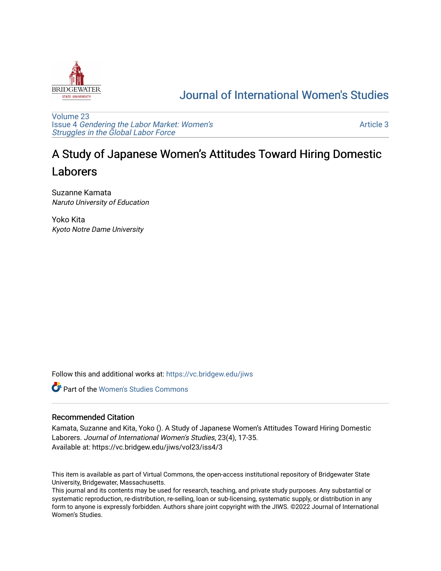

## [Journal of International Women's Studies](https://vc.bridgew.edu/jiws)

[Volume 23](https://vc.bridgew.edu/jiws/vol23) Issue 4 [Gendering the Labor Market: Women's](https://vc.bridgew.edu/jiws/vol23/iss4) [Struggles in the Global Labor Force](https://vc.bridgew.edu/jiws/vol23/iss4)

[Article 3](https://vc.bridgew.edu/jiws/vol23/iss4/3) 

# A Study of Japanese Women's Attitudes Toward Hiring Domestic Laborers

Suzanne Kamata Naruto University of Education

Yoko Kita Kyoto Notre Dame University

Follow this and additional works at: [https://vc.bridgew.edu/jiws](https://vc.bridgew.edu/jiws?utm_source=vc.bridgew.edu%2Fjiws%2Fvol23%2Fiss4%2F3&utm_medium=PDF&utm_campaign=PDFCoverPages)

**C** Part of the Women's Studies Commons

#### Recommended Citation

Kamata, Suzanne and Kita, Yoko (). A Study of Japanese Women's Attitudes Toward Hiring Domestic Laborers. Journal of International Women's Studies, 23(4), 17-35. Available at: https://vc.bridgew.edu/jiws/vol23/iss4/3

This item is available as part of Virtual Commons, the open-access institutional repository of Bridgewater State University, Bridgewater, Massachusetts.

This journal and its contents may be used for research, teaching, and private study purposes. Any substantial or systematic reproduction, re-distribution, re-selling, loan or sub-licensing, systematic supply, or distribution in any form to anyone is expressly forbidden. Authors share joint copyright with the JIWS. ©2022 Journal of International Women's Studies.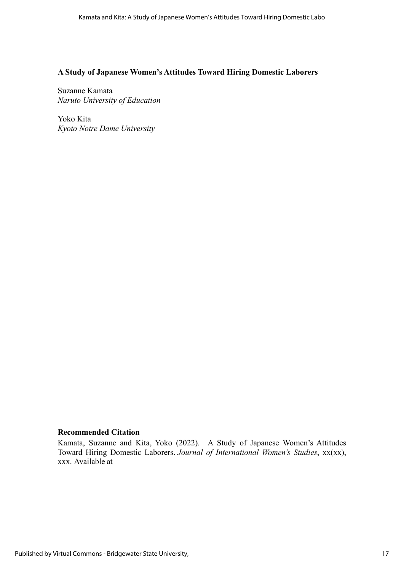#### **A Study of Japanese Women's Attitudes Toward Hiring Domestic Laborers**

Suzanne Kamata *Naruto University of Education*

Yoko Kita *Kyoto Notre Dame University*

#### **Recommended Citation**

Kamata, Suzanne and Kita, Yoko (2022). A Study of Japanese Women's Attitudes Toward Hiring Domestic Laborers. *Journal of International Women's Studies*, xx(xx), xxx. Available at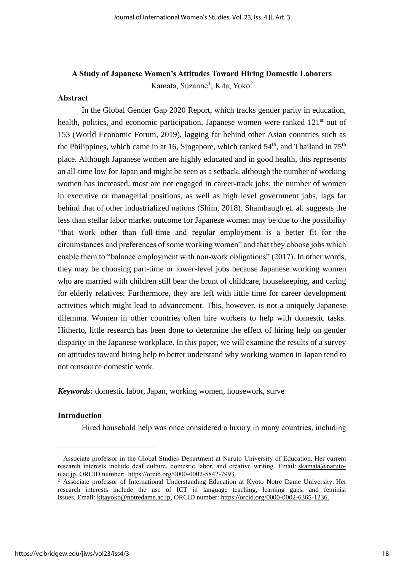### **A Study of Japanese Women's Attitudes Toward Hiring Domestic Laborers** Kamata, Suzanne<sup>1</sup>; Kita, Yoko<sup>2</sup>

#### **Abstract**

In the Global Gender Gap 2020 Report, which tracks gender parity in education, health, politics, and economic participation, Japanese women were ranked 121<sup>st</sup> out of 153 (World Economic Forum, 2019), lagging far behind other Asian countries such as the Philippines, which came in at 16, Singapore, which ranked  $54<sup>th</sup>$ , and Thailand in  $75<sup>th</sup>$ place. Although Japanese women are highly educated and in good health, this represents an all-time low for Japan and might be seen as a setback. although the number of working women has increased, most are not engaged in career-track jobs; the number of women in executive or managerial positions, as well as high level government jobs, lags far behind that of other industrialized nations (Shim, 2018). Shambaugh et. al. suggests the less than stellar labor market outcome for Japanese women may be due to the possibility "that work other than full-time and regular employment is a better fit for the circumstances and preferences of some working women" and that they choose jobs which enable them to "balance employment with non-work obligations" (2017). In other words, they may be choosing part-time or lower-level jobs because Japanese working women who are married with children still bear the brunt of childcare, housekeeping, and caring for elderly relatives. Furthermore, they are left with little time for career development activities which might lead to advancement. This, however, is not a uniquely Japanese dilemma. Women in other countries often hire workers to help with domestic tasks. Hitherto, little research has been done to determine the effect of hiring help on gender disparity in the Japanese workplace. In this paper, we will examine the results of a survey on attitudes toward hiring help to better understand why working women in Japan tend to not outsource domestic work.

*Keywords:* domestic labor, Japan, working women, housework, surve

#### **Introduction**

Hired household help was once considered a luxury in many countries, including

 $<sup>1</sup>$  Associate professor in the Global Studies Department at Naruto University of Education. Her current</sup> research interests include deaf culture, domestic labor, and creative writing. Email: [skamata@naruto](mailto:skamata@naruto-u.ac.jp)[u.ac.jp,](mailto:skamata@naruto-u.ac.jp) ORCID number: [https://orcid.org/0000-0002-5842-7993.](https://orcid.org/0000-0002-5842-7993)

 $2$  Associate professor of International Understanding Education at Kyoto Notre Dame University. Her research interests include the use of ICT in language teaching, learning gaps, and feminist issues. Email: [kitayoko@notredame.ac.jp,](mailto:kitayoko@notredame.ac.jp) ORCID number: [https://orcid.org/0000-0002-6365-1236.](https://orcid.org/0000-0002-6365-1236)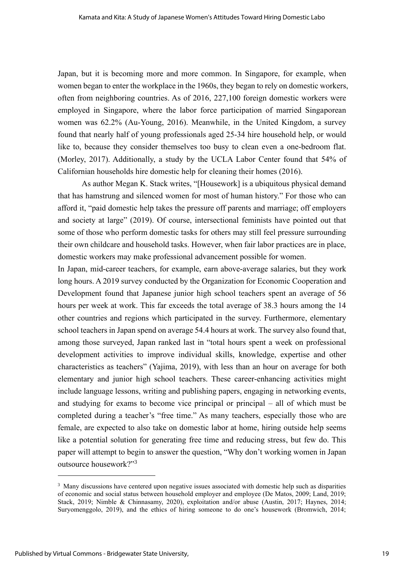Japan, but it is becoming more and more common. In Singapore, for example, when women began to enter the workplace in the 1960s, they began to rely on domestic workers, often from neighboring countries. As of 2016, 227,100 foreign domestic workers were employed in Singapore, where the labor force participation of married Singaporean women was 62.2% (Au-Young, 2016). Meanwhile, in the United Kingdom, a survey found that nearly half of young professionals aged 25-34 hire household help, or would like to, because they consider themselves too busy to clean even a one-bedroom flat. (Morley, 2017). Additionally, a study by the UCLA Labor Center found that 54% of Californian households hire domestic help for cleaning their homes (2016).

As author Megan K. Stack writes, "[Housework] is a ubiquitous physical demand that has hamstrung and silenced women for most of human history." For those who can afford it, "paid domestic help takes the pressure off parents and marriage; off employers and society at large" (2019). Of course, intersectional feminists have pointed out that some of those who perform domestic tasks for others may still feel pressure surrounding their own childcare and household tasks. However, when fair labor practices are in place, domestic workers may make professional advancement possible for women.

In Japan, mid-career teachers, for example, earn above-average salaries, but they work long hours. A 2019 survey conducted by the Organization for Economic Cooperation and Development found that Japanese junior high school teachers spent an average of 56 hours per week at work. This far exceeds the total average of 38.3 hours among the 14 other countries and regions which participated in the survey. Furthermore, elementary school teachers in Japan spend on average 54.4 hours at work. The survey also found that, among those surveyed, Japan ranked last in "total hours spent a week on professional development activities to improve individual skills, knowledge, expertise and other characteristics as teachers" (Yajima, 2019), with less than an hour on average for both elementary and junior high school teachers. These career-enhancing activities might include language lessons, writing and publishing papers, engaging in networking events, and studying for exams to become vice principal or principal – all of which must be completed during a teacher's "free time." As many teachers, especially those who are female, are expected to also take on domestic labor at home, hiring outside help seems like a potential solution for generating free time and reducing stress, but few do. This paper will attempt to begin to answer the question, "Why don't working women in Japan outsource housework?"<sup>3</sup>

<sup>&</sup>lt;sup>3</sup> Many discussions have centered upon negative issues associated with domestic help such as disparities of economic and social status between household employer and employee (De Matos, 2009; Land, 2019; Stack, 2019; Nimble & Chinnasamy, 2020), exploitation and/or abuse (Austin, 2017; Haynes, 2014; Suryomenggolo, 2019), and the ethics of hiring someone to do one's housework (Bromwich, 2014;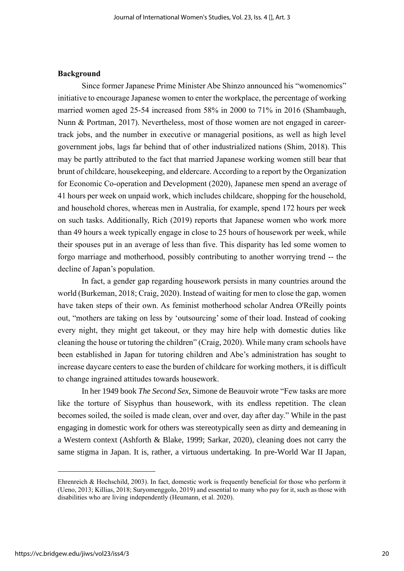#### **Background**

Since former Japanese Prime Minister Abe Shinzo announced his "womenomics" initiative to encourage Japanese women to enter the workplace, the percentage of working married women aged 25-54 increased from 58% in 2000 to 71% in 2016 (Shambaugh, Nunn & Portman, 2017). Nevertheless, most of those women are not engaged in careertrack jobs, and the number in executive or managerial positions, as well as high level government jobs, lags far behind that of other industrialized nations (Shim, 2018). This may be partly attributed to the fact that married Japanese working women still bear that brunt of childcare, housekeeping, and eldercare. According to a report by the Organization for Economic Co-operation and Development (2020), Japanese men spend an average of 41 hours per week on unpaid work, which includes childcare, shopping for the household, and household chores, whereas men in Australia, for example, spend 172 hours per week on such tasks. Additionally, Rich (2019) reports that Japanese women who work more than 49 hours a week typically engage in close to 25 hours of housework per week, while their spouses put in an average of less than five. This disparity has led some women to forgo marriage and motherhood, possibly contributing to another worrying trend -- the decline of Japan's population.

In fact, a gender gap regarding housework persists in many countries around the world (Burkeman, 2018; Craig, 2020). Instead of waiting for men to close the gap, women have taken steps of their own. As feminist motherhood scholar Andrea O'Reilly points out, "mothers are taking on less by 'outsourcing' some of their load. Instead of cooking every night, they might get takeout, or they may hire help with domestic duties like cleaning the house or tutoring the children" (Craig, 2020). While many cram schools have been established in Japan for tutoring children and Abe's administration has sought to increase daycare centers to ease the burden of childcare for working mothers, it is difficult to change ingrained attitudes towards housework.

In her 1949 book *The Second Sex*, Simone de Beauvoir wrote "Few tasks are more like the torture of Sisyphus than housework, with its endless repetition. The clean becomes soiled, the soiled is made clean, over and over, day after day." While in the past engaging in domestic work for others was stereotypically seen as dirty and demeaning in a Western context (Ashforth & Blake, 1999; Sarkar, 2020), cleaning does not carry the same stigma in Japan. It is, rather, a virtuous undertaking. In pre-World War II Japan,

Ehrenreich & Hochschild, 2003). In fact, domestic work is frequently beneficial for those who perform it (Ueno, 2013; Killias, 2018; Suryomenggolo, 2019) and essential to many who pay for it, such as those with disabilities who are living independently (Heumann, et al. 2020).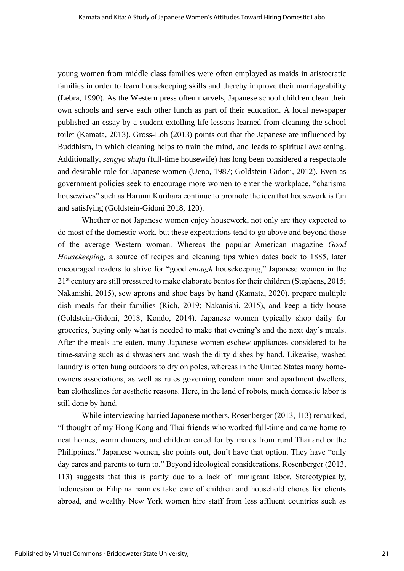young women from middle class families were often employed as maids in aristocratic families in order to learn housekeeping skills and thereby improve their marriageability (Lebra, 1990). As the Western press often marvels, Japanese school children clean their own schools and serve each other lunch as part of their education. A local newspaper published an essay by a student extolling life lessons learned from cleaning the school toilet (Kamata, 2013). Gross-Loh (2013) points out that the Japanese are influenced by Buddhism, in which cleaning helps to train the mind, and leads to spiritual awakening. Additionally, *sengyo shufu* (full-time housewife) has long been considered a respectable and desirable role for Japanese women (Ueno, 1987; Goldstein-Gidoni, 2012). Even as government policies seek to encourage more women to enter the workplace, "charisma housewives" such as Harumi Kurihara continue to promote the idea that housework is fun and satisfying (Goldstein-Gidoni 2018, 120).

Whether or not Japanese women enjoy housework, not only are they expected to do most of the domestic work, but these expectations tend to go above and beyond those of the average Western woman. Whereas the popular American magazine *Good Housekeeping,* a source of recipes and cleaning tips which dates back to 1885, later encouraged readers to strive for "good *enough* housekeeping," Japanese women in the 21<sup>st</sup> century are still pressured to make elaborate bentos for their children (Stephens, 2015; Nakanishi, 2015), sew aprons and shoe bags by hand (Kamata, 2020), prepare multiple dish meals for their families (Rich, 2019; Nakanishi, 2015), and keep a tidy house (Goldstein-Gidoni, 2018, Kondo, 2014). Japanese women typically shop daily for groceries, buying only what is needed to make that evening's and the next day's meals. After the meals are eaten, many Japanese women eschew appliances considered to be time-saving such as dishwashers and wash the dirty dishes by hand. Likewise, washed laundry is often hung outdoors to dry on poles, whereas in the United States many homeowners associations, as well as rules governing condominium and apartment dwellers, ban clotheslines for aesthetic reasons. Here, in the land of robots, much domestic labor is still done by hand.

While interviewing harried Japanese mothers, Rosenberger (2013, 113) remarked, "I thought of my Hong Kong and Thai friends who worked full-time and came home to neat homes, warm dinners, and children cared for by maids from rural Thailand or the Philippines." Japanese women, she points out, don't have that option. They have "only day cares and parents to turn to." Beyond ideological considerations, Rosenberger (2013, 113) suggests that this is partly due to a lack of immigrant labor. Stereotypically, Indonesian or Filipina nannies take care of children and household chores for clients abroad, and wealthy New York women hire staff from less affluent countries such as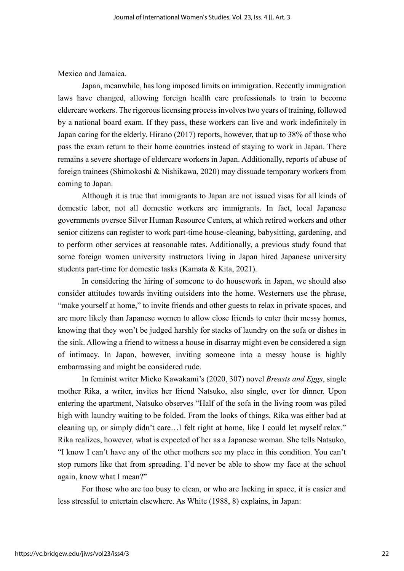Mexico and Jamaica.

Japan, meanwhile, has long imposed limits on immigration. Recently immigration laws have changed, allowing foreign health care professionals to train to become eldercare workers. The rigorous licensing process involves two years of training, followed by a national board exam. If they pass, these workers can live and work indefinitely in Japan caring for the elderly. Hirano (2017) reports, however, that up to 38% of those who pass the exam return to their home countries instead of staying to work in Japan. There remains a severe shortage of eldercare workers in Japan. Additionally, reports of abuse of foreign trainees (Shimokoshi & Nishikawa, 2020) may dissuade temporary workers from coming to Japan.

Although it is true that immigrants to Japan are not issued visas for all kinds of domestic labor, not all domestic workers are immigrants. In fact, local Japanese governments oversee Silver Human Resource Centers, at which retired workers and other senior citizens can register to work part-time house-cleaning, babysitting, gardening, and to perform other services at reasonable rates. Additionally, a previous study found that some foreign women university instructors living in Japan hired Japanese university students part-time for domestic tasks (Kamata & Kita, 2021).

In considering the hiring of someone to do housework in Japan, we should also consider attitudes towards inviting outsiders into the home. Westerners use the phrase, "make yourself at home," to invite friends and other guests to relax in private spaces, and are more likely than Japanese women to allow close friends to enter their messy homes, knowing that they won't be judged harshly for stacks of laundry on the sofa or dishes in the sink. Allowing a friend to witness a house in disarray might even be considered a sign of intimacy. In Japan, however, inviting someone into a messy house is highly embarrassing and might be considered rude.

In feminist writer Mieko Kawakami's (2020, 307) novel *Breasts and Eggs*, single mother Rika, a writer, invites her friend Natsuko, also single, over for dinner. Upon entering the apartment, Natsuko observes "Half of the sofa in the living room was piled high with laundry waiting to be folded. From the looks of things, Rika was either bad at cleaning up, or simply didn't care…I felt right at home, like I could let myself relax." Rika realizes, however, what is expected of her as a Japanese woman. She tells Natsuko, "I know I can't have any of the other mothers see my place in this condition. You can't stop rumors like that from spreading. I'd never be able to show my face at the school again, know what I mean?"

For those who are too busy to clean, or who are lacking in space, it is easier and less stressful to entertain elsewhere. As White (1988, 8) explains, in Japan: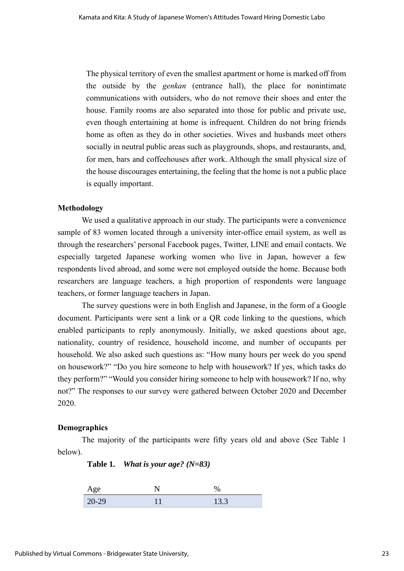The physical territory of even the smallest apartment or home is marked off from the outside by the *genkan* (entrance hall), the place for nonintimate communications with outsiders, who do not remove their shoes and enter the house. Family rooms are also separated into those for public and private use, even though entertaining at home is infrequent. Children do not bring friends home as often as they do in other societies. Wives and husbands meet others socially in neutral public areas such as playgrounds, shops, and restaurants, and, for men, bars and coffeehouses after work. Although the small physical size of the house discourages entertaining, the feeling that the home is not a public place is equally important.

#### **Methodology**

We used a qualitative approach in our study. The participants were a convenience sample of 83 women located through a university inter-office email system, as well as through the researchers' personal Facebook pages, Twitter, LINE and email contacts. We especially targeted Japanese working women who live in Japan, however a few respondents lived abroad, and some were not employed outside the home. Because both researchers are language teachers, a high proportion of respondents were language teachers, or former language teachers in Japan.

The survey questions were in both English and Japanese, in the form of a Google document. Participants were sent a link or a QR code linking to the questions, which enabled participants to reply anonymously. Initially, we asked questions about age, nationality, country of residence, household income, and number of occupants per household. We also asked such questions as: "How many hours per week do you spend on housework?" "Do you hire someone to help with housework? If yes, which tasks do they perform?" "Would you consider hiring someone to help with housework? If no, why not?" The responses to our survey were gathered between October 2020 and December 2020.

#### **Demographics**

The majority of the participants were fifty years old and above (See Table 1 below).

**Table 1.** *What is your age? (N=83)*

| Age   | %    |
|-------|------|
| 20-29 | 13.3 |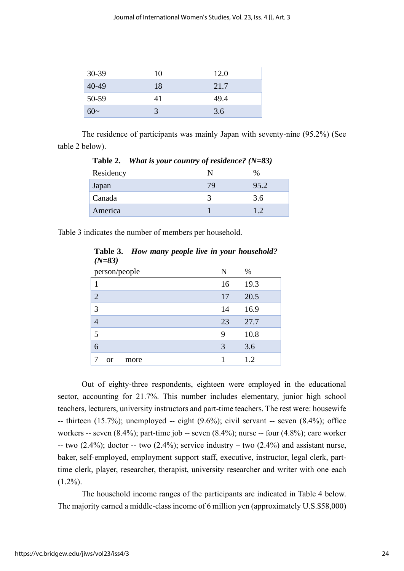| $30-39$ | 10 | 12.0 |  |
|---------|----|------|--|
| 40-49   | 18 | 21.7 |  |
| $50-59$ | 41 | 49.4 |  |
| $60-$   |    | 3.6  |  |

The residence of participants was mainly Japan with seventy-nine (95.2%) (See table 2 below).

| Residency | $\%$ |
|-----------|------|
| Japan     | 95.2 |
| Canada    | 3.6  |
| America   |      |

**Table 2.** *What is your country of residence? (N=83)*

Table 3 indicates the number of members per household.

|                | $(1V-0J)$     |               |  |    |      |
|----------------|---------------|---------------|--|----|------|
|                |               | person/people |  | N  | $\%$ |
| 1              |               |               |  | 16 | 19.3 |
| $\overline{2}$ |               |               |  | 17 | 20.5 |
| 3              |               |               |  | 14 | 16.9 |
| $\overline{4}$ |               |               |  | 23 | 27.7 |
| 5              |               |               |  | 9  | 10.8 |
| 6              |               |               |  | 3  | 3.6  |
| $\overline{7}$ | <sub>or</sub> | more          |  |    | 1.2  |

**Table 3.** *How many people live in your household? (N=83)*

Out of eighty-three respondents, eighteen were employed in the educational sector, accounting for 21.7%. This number includes elementary, junior high school teachers, lecturers, university instructors and part-time teachers. The rest were: housewife  $-$  thirteen (15.7%); unemployed  $-$  eight (9.6%); civil servant  $-$  seven (8.4%); office workers -- seven (8.4%); part-time job -- seven (8.4%); nurse -- four (4.8%); care worker -- two  $(2.4\%)$ ; doctor -- two  $(2.4\%)$ ; service industry – two  $(2.4\%)$  and assistant nurse, baker, self-employed, employment support staff, executive, instructor, legal clerk, parttime clerk, player, researcher, therapist, university researcher and writer with one each  $(1.2\%)$ .

The household income ranges of the participants are indicated in Table 4 below. The majority earned a middle-class income of 6 million yen (approximately U.S.\$58,000)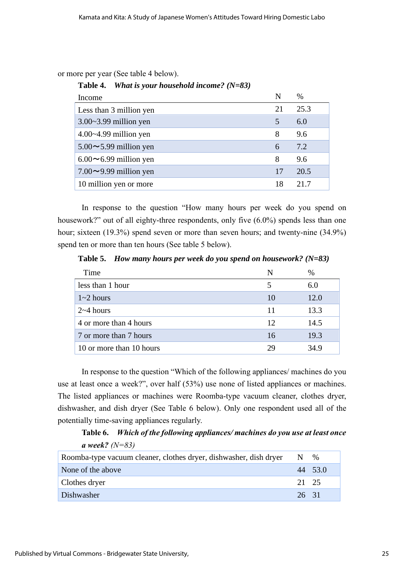or more per year (See table 4 below).

| Income                       | N  | $\%$ |
|------------------------------|----|------|
| Less than 3 million yen      | 21 | 25.3 |
| $3.00 - 3.99$ million yen    | 5  | 6.0  |
| $4.00 - 4.99$ million yen    | 8  | 9.6  |
| $5.00 \sim 5.99$ million yen | 6  | 7.2  |
| $6.00 \sim 6.99$ million yen | 8  | 9.6  |
| $7.00 \sim 9.99$ million yen | 17 | 20.5 |
| 10 million yen or more       | 18 | 21.7 |

#### **Table 4.** *What is your household income? (N=83)*

In response to the question "How many hours per week do you spend on housework?" out of all eighty-three respondents, only five (6.0%) spends less than one hour; sixteen (19.3%) spend seven or more than seven hours; and twenty-nine (34.9%) spend ten or more than ten hours (See table 5 below).

**Table 5.** *How many hours per week do you spend on housework? (N=83)*

| Time                     | N  | $\%$ |
|--------------------------|----|------|
| less than 1 hour         |    | 6.0  |
| $1 - 2$ hours            |    | 12.0 |
| $2 \sim 4$ hours         | 11 | 13.3 |
| 4 or more than 4 hours   | 12 | 14.5 |
| 7 or more than 7 hours   | 16 | 19.3 |
| 10 or more than 10 hours | 29 | 34.9 |

In response to the question "Which of the following appliances/ machines do you use at least once a week?", over half (53%) use none of listed appliances or machines. The listed appliances or machines were Roomba-type vacuum cleaner, clothes dryer, dishwasher, and dish dryer (See Table 6 below). Only one respondent used all of the potentially time-saving appliances regularly.

**Table 6.** *Which of the following appliances/ machines do you use at least once a week? (N=83)*

| Roomba-type vacuum cleaner, clothes dryer, dishwasher, dish dryer | N,    | $\%$    |
|-------------------------------------------------------------------|-------|---------|
| None of the above                                                 |       | 44 53.0 |
| Clothes dryer                                                     | 21 25 |         |
| Dishwasher                                                        | 26 31 |         |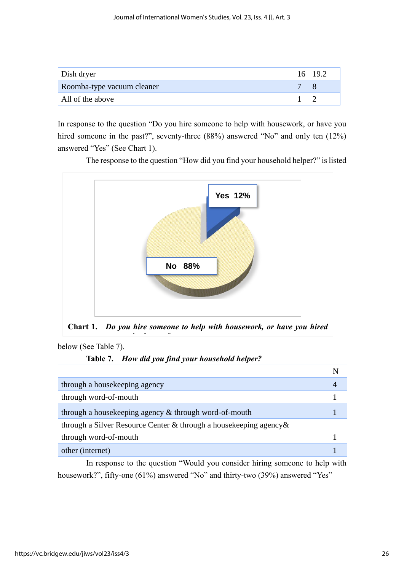| Dish dryer                 | 16 19.2 |
|----------------------------|---------|
| Roomba-type vacuum cleaner |         |
| All of the above           |         |

In response to the question "Do you hire someone to help with housework, or have you hired someone in the past?", seventy-three (88%) answered "No" and only ten (12%) answered "Yes" (See Chart 1).



The response to the question "How did you find your household helper?" is listed

**Chart 1.** *Do you hire someone to help with housework, or have you hired* 

below (See Table 7).

|  | Table 7. How did you find your household helper? |  |  |  |
|--|--------------------------------------------------|--|--|--|
|--|--------------------------------------------------|--|--|--|

*someone in the past?*

| through a house keeping agency                                      |  |
|---------------------------------------------------------------------|--|
| through word-of-mouth                                               |  |
| through a housekeeping agency & through word-of-mouth               |  |
| through a Silver Resource Center & through a house keeping agency & |  |
| through word-of-mouth                                               |  |
| other (internet)                                                    |  |

In response to the question "Would you consider hiring someone to help with housework?", fifty-one (61%) answered "No" and thirty-two (39%) answered "Yes"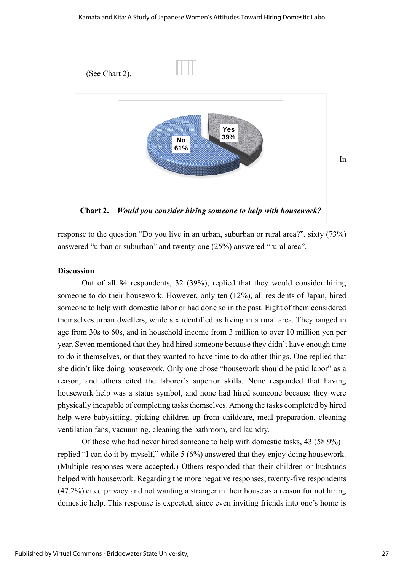

response to the question "Do you live in an urban, suburban or rural area?", sixty (73%) answered "urban or suburban" and twenty-one (25%) answered "rural area".

#### **Discussion**

Out of all 84 respondents, 32 (39%), replied that they would consider hiring someone to do their housework. However, only ten (12%), all residents of Japan, hired someone to help with domestic labor or had done so in the past. Eight of them considered themselves urban dwellers, while six identified as living in a rural area. They ranged in age from 30s to 60s, and in household income from 3 million to over 10 million yen per year. Seven mentioned that they had hired someone because they didn't have enough time to do it themselves, or that they wanted to have time to do other things. One replied that she didn't like doing housework. Only one chose "housework should be paid labor" as a reason, and others cited the laborer's superior skills. None responded that having housework help was a status symbol, and none had hired someone because they were physically incapable of completing tasks themselves. Among the tasks completed by hired help were babysitting, picking children up from childcare, meal preparation, cleaning ventilation fans, vacuuming, cleaning the bathroom, and laundry.

Of those who had never hired someone to help with domestic tasks, 43 (58.9%) replied "I can do it by myself," while 5 (6%) answered that they enjoy doing housework. (Multiple responses were accepted.) Others responded that their children or husbands helped with housework. Regarding the more negative responses, twenty-five respondents (47.2%) cited privacy and not wanting a stranger in their house as a reason for not hiring domestic help. This response is expected, since even inviting friends into one's home is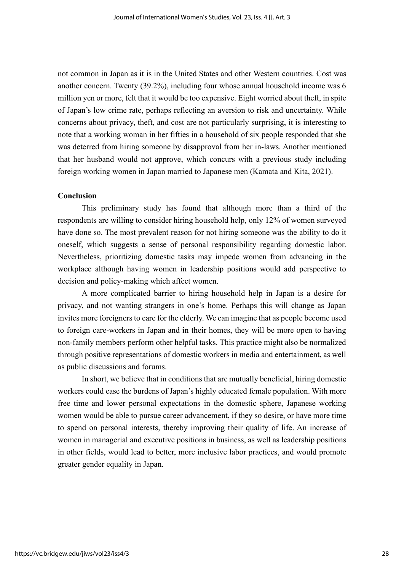not common in Japan as it is in the United States and other Western countries. Cost was another concern. Twenty (39.2%), including four whose annual household income was 6 million yen or more, felt that it would be too expensive. Eight worried about theft, in spite of Japan's low crime rate, perhaps reflecting an aversion to risk and uncertainty. While concerns about privacy, theft, and cost are not particularly surprising, it is interesting to note that a working woman in her fifties in a household of six people responded that she was deterred from hiring someone by disapproval from her in-laws. Another mentioned that her husband would not approve, which concurs with a previous study including foreign working women in Japan married to Japanese men (Kamata and Kita, 2021).

#### **Conclusion**

This preliminary study has found that although more than a third of the respondents are willing to consider hiring household help, only 12% of women surveyed have done so. The most prevalent reason for not hiring someone was the ability to do it oneself, which suggests a sense of personal responsibility regarding domestic labor. Nevertheless, prioritizing domestic tasks may impede women from advancing in the workplace although having women in leadership positions would add perspective to decision and policy-making which affect women.

A more complicated barrier to hiring household help in Japan is a desire for privacy, and not wanting strangers in one's home. Perhaps this will change as Japan invites more foreigners to care for the elderly. We can imagine that as people become used to foreign care-workers in Japan and in their homes, they will be more open to having non-family members perform other helpful tasks. This practice might also be normalized through positive representations of domestic workers in media and entertainment, as well as public discussions and forums.

In short, we believe that in conditions that are mutually beneficial, hiring domestic workers could ease the burdens of Japan's highly educated female population. With more free time and lower personal expectations in the domestic sphere, Japanese working women would be able to pursue career advancement, if they so desire, or have more time to spend on personal interests, thereby improving their quality of life. An increase of women in managerial and executive positions in business, as well as leadership positions in other fields, would lead to better, more inclusive labor practices, and would promote greater gender equality in Japan.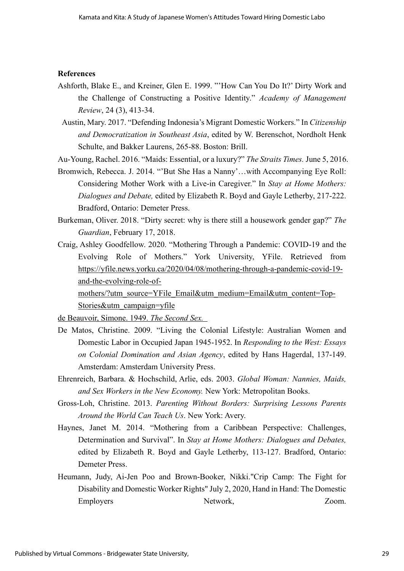#### **References**

- Ashforth, Blake E., and Kreiner, Glen E. 1999. "'How Can You Do It?' Dirty Work and the Challenge of Constructing a Positive Identity." *Academy of Management Review*, 24 (3), 413-34.
- Austin, Mary. 2017. "Defending Indonesia's Migrant Domestic Workers." In *Citizenship and Democratization in Southeast Asia*, edited by W. Berenschot, Nordholt Henk Schulte, and Bakker Laurens, 265-88. Boston: Brill.

Au-Young, Rachel. 2016. "Maids: Essential, or a luxury?" *The Straits Times.* June 5, 2016.

- Bromwich, Rebecca. J. 2014. "'But She Has a Nanny'…with Accompanying Eye Roll: Considering Mother Work with a Live-in Caregiver." In *Stay at Home Mothers: Dialogues and Debate,* edited by Elizabeth R. Boyd and Gayle Letherby, 217-222. Bradford, Ontario: Demeter Press.
- Burkeman, Oliver. 2018. "Dirty secret: why is there still a housework gender gap?" *The Guardian*, February 17, 2018.
- Craig, Ashley Goodfellow. 2020. "Mothering Through a Pandemic: COVID-19 and the Evolving Role of Mothers." York University, YFile. Retrieved from [https://yfile.news.yorku.ca/2020/04/08/mothering-through-a-pandemic-covid-19](https://yfile.news.yorku.ca/2020/04/08/mothering-through-a-pandemic-covid-19-and-the-evolving-role-of-mothers/?utm_source=YFile_Email&utm_medium=Email&utm_content=Top-Stories&utm_campaign=yfile) [and-the-evolving-role-of-](https://yfile.news.yorku.ca/2020/04/08/mothering-through-a-pandemic-covid-19-and-the-evolving-role-of-mothers/?utm_source=YFile_Email&utm_medium=Email&utm_content=Top-Stories&utm_campaign=yfile)

[mothers/?utm\\_source=YFile\\_Email&utm\\_medium=Email&utm\\_content=Top-](https://yfile.news.yorku.ca/2020/04/08/mothering-through-a-pandemic-covid-19-and-the-evolving-role-of-mothers/?utm_source=YFile_Email&utm_medium=Email&utm_content=Top-Stories&utm_campaign=yfile)[Stories&utm\\_campaign=yfile](https://yfile.news.yorku.ca/2020/04/08/mothering-through-a-pandemic-covid-19-and-the-evolving-role-of-mothers/?utm_source=YFile_Email&utm_medium=Email&utm_content=Top-Stories&utm_campaign=yfile)

de Beauvoir, Simone. 1949. *The Second Sex.* 

- De Matos, Christine. 2009. "Living the Colonial Lifestyle: Australian Women and Domestic Labor in Occupied Japan 1945-1952. In *Responding to the West: Essays on Colonial Domination and Asian Agency*, edited by Hans Hagerdal, 137-149. Amsterdam: Amsterdam University Press.
- Ehrenreich, Barbara. & Hochschild, Arlie, eds. 2003. *Global Woman: Nannies, Maids, and Sex Workers in the New Economy.* New York: Metropolitan Books.
- Gross-Loh, Christine. 2013. *Parenting Without Borders: Surprising Lessons Parents Around the World Can Teach Us*. New York: Avery.
- Haynes, Janet M. 2014. "Mothering from a Caribbean Perspective: Challenges, Determination and Survival". In *Stay at Home Mothers: Dialogues and Debates,* edited by Elizabeth R. Boyd and Gayle Letherby, 113-127. Bradford, Ontario: Demeter Press.
- Heumann, Judy, Ai-Jen Poo and Brown-Booker, Nikki."Crip Camp: The Fight for Disability and Domestic Worker Rights" July 2, 2020, Hand in Hand: The Domestic Employers Network, Zoom.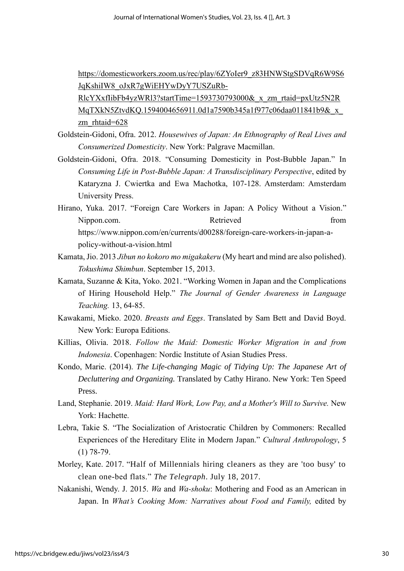[https://domesticworkers.zoom.us/rec/play/6ZYoIer9\\_z83HNWStgSDVqR6W9S6](https://domesticworkers.zoom.us/rec/play/6ZYoIer9_z83HNWStgSDVqR6W9S6JqKshiIW8_oJxR7gWiEHYwDyY7USZuRb-RlcYXxfIibFb4yzWRl3?startTime=1593730793000&_x_zm_rtaid=pxUtz5N2RMqTXkN5ZtvdKQ.1594004656911.0d1a7590b345a1f977c06daa011841b9&_x_zm_rhtaid=628) [JqKshiIW8\\_oJxR7gWiEHYwDyY7USZuRb-](https://domesticworkers.zoom.us/rec/play/6ZYoIer9_z83HNWStgSDVqR6W9S6JqKshiIW8_oJxR7gWiEHYwDyY7USZuRb-RlcYXxfIibFb4yzWRl3?startTime=1593730793000&_x_zm_rtaid=pxUtz5N2RMqTXkN5ZtvdKQ.1594004656911.0d1a7590b345a1f977c06daa011841b9&_x_zm_rhtaid=628)

[RlcYXxfIibFb4yzWRl3?startTime=1593730793000&\\_x\\_zm\\_rtaid=pxUtz5N2R](https://domesticworkers.zoom.us/rec/play/6ZYoIer9_z83HNWStgSDVqR6W9S6JqKshiIW8_oJxR7gWiEHYwDyY7USZuRb-RlcYXxfIibFb4yzWRl3?startTime=1593730793000&_x_zm_rtaid=pxUtz5N2RMqTXkN5ZtvdKQ.1594004656911.0d1a7590b345a1f977c06daa011841b9&_x_zm_rhtaid=628) [MqTXkN5ZtvdKQ.1594004656911.0d1a7590b345a1f977c06daa011841b9&\\_x\\_](https://domesticworkers.zoom.us/rec/play/6ZYoIer9_z83HNWStgSDVqR6W9S6JqKshiIW8_oJxR7gWiEHYwDyY7USZuRb-RlcYXxfIibFb4yzWRl3?startTime=1593730793000&_x_zm_rtaid=pxUtz5N2RMqTXkN5ZtvdKQ.1594004656911.0d1a7590b345a1f977c06daa011841b9&_x_zm_rhtaid=628) [zm\\_rhtaid=628](https://domesticworkers.zoom.us/rec/play/6ZYoIer9_z83HNWStgSDVqR6W9S6JqKshiIW8_oJxR7gWiEHYwDyY7USZuRb-RlcYXxfIibFb4yzWRl3?startTime=1593730793000&_x_zm_rtaid=pxUtz5N2RMqTXkN5ZtvdKQ.1594004656911.0d1a7590b345a1f977c06daa011841b9&_x_zm_rhtaid=628)

- Goldstein-Gidoni, Ofra. 2012. *Housewives of Japan: An Ethnography of Real Lives and Consumerized Domesticity*. New York: Palgrave Macmillan.
- Goldstein-Gidoni, Ofra. 2018. "Consuming Domesticity in Post-Bubble Japan." In *Consuming Life in Post-Bubble Japan: A Transdisciplinary Perspective*, edited by Kataryzna J. Cwiertka and Ewa Machotka, 107-128. Amsterdam: Amsterdam University Press.
- Hirano, Yuka. 2017. "Foreign Care Workers in Japan: A Policy Without a Vision." Nippon.com. Retrieved from Retrieved from https://www.nippon.com/en/currents/d00288/foreign-care-workers-in-japan-apolicy-without-a-vision.html
- Kamata,Jio. 2013 *Jibun no kokoro mo migakakeru* (My heart and mind are also polished). *Tokushima Shimbun*. September 15, 2013.
- Kamata, Suzanne & Kita, Yoko. 2021. "Working Women in Japan and the Complications of Hiring Household Help." *The Journal of Gender Awareness in Language Teaching.* 13, 64-85.
- Kawakami, Mieko. 2020. *Breasts and Eggs*. Translated by Sam Bett and David Boyd. New York: Europa Editions.
- Killias, Olivia. 2018. *Follow the Maid: Domestic Worker Migration in and from Indonesia*. Copenhagen: Nordic Institute of Asian Studies Press.
- Kondo, Marie. (2014). *The Life-changing Magic of Tidying Up: The Japanese Art of Decluttering and Organizing.* Translated by Cathy Hirano. New York: Ten Speed Press.
- Land, Stephanie. 2019. *Maid: Hard Work, Low Pay, and a Mother's Will to Survive.* New York: Hachette.
- Lebra, Takie S. "The Socialization of Aristocratic Children by Commoners: Recalled Experiences of the Hereditary Elite in Modern Japan." *Cultural Anthropology*, 5 (1) 78-79.
- Morley, Kate. 2017. "Half of Millennials hiring cleaners as they are 'too busy' to clean one-bed flats." *The Telegraph*. July 18, 2017.
- Nakanishi, Wendy. J. 2015. *Wa* and *Wa-shoku*: Mothering and Food as an American in Japan. In *What's Cooking Mom: Narratives about Food and Family,* edited by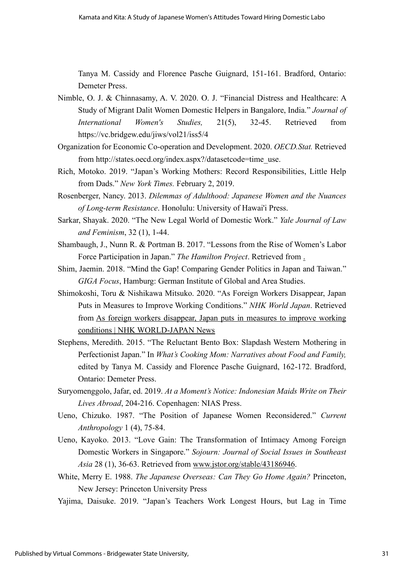Tanya M. Cassidy and Florence Pasche Guignard, 151-161. Bradford, Ontario: Demeter Press.

- Nimble, O. J. & Chinnasamy, A. V. 2020. O. J. "Financial Distress and Healthcare: A Study of Migrant Dalit Women Domestic Helpers in Bangalore, India." *Journal of International Women's Studies,* 21(5), 32-45. Retrieved from https://vc.bridgew.edu/jiws/vol21/iss5/4
- Organization for Economic Co-operation and Development. 2020. *OECD.Stat.* Retrieved from http://states.oecd.org/index.aspx?/datasetcode=time\_use.
- Rich, Motoko. 2019. "Japan's Working Mothers: Record Responsibilities, Little Help from Dads." *New York Times.* February 2, 2019.
- Rosenberger, Nancy. 2013. *Dilemmas of Adulthood: Japanese Women and the Nuances of Long-term Resistance*. Honolulu: University of Hawai'i Press.
- Sarkar, Shayak. 2020. "The New Legal World of Domestic Work." *Yale Journal of Law and Feminism*, 32 (1), 1-44.
- Shambaugh, J., Nunn R. & Portman B. 2017. "Lessons from the Rise of Women's Labor Force Participation in Japan." *The Hamilton Project*. Retrieved from [.](https://www.hamiltonproject.org/papers/lessons_from_the_rise_of_womens_labor_force_participation_in_japan)
- Shim, Jaemin. 2018. "Mind the Gap! Comparing Gender Politics in Japan and Taiwan." *GIGA Focus*, Hamburg: German Institute of Global and Area Studies.
- Shimokoshi, Toru & Nishikawa Mitsuko. 2020. "As Foreign Workers Disappear, Japan Puts in Measures to Improve Working Conditions." *NHK World Japan*. Retrieved from [As foreign workers disappear, Japan puts in measures to improve working](https://www3.nhk.or.jp/nhkworld/en/news/backstories/810/)  [conditions | NHK WORLD-JAPAN News](https://www3.nhk.or.jp/nhkworld/en/news/backstories/810/)
- Stephens, Meredith. 2015. "The Reluctant Bento Box: Slapdash Western Mothering in Perfectionist Japan." In *What's Cooking Mom: Narratives about Food and Family,*  edited by Tanya M. Cassidy and Florence Pasche Guignard, 162-172. Bradford, Ontario: Demeter Press.
- Suryomenggolo, Jafar, ed. 2019. *At a Moment's Notice: Indonesian Maids Write on Their Lives Abroad*, 204-216. Copenhagen: NIAS Press.
- Ueno, Chizuko. 1987. "The Position of Japanese Women Reconsidered." *Current Anthropology* 1 (4), 75-84.
- Ueno, Kayoko. 2013. "Love Gain: The Transformation of Intimacy Among Foreign Domestic Workers in Singapore." *Sojourn: Journal of Social Issues in Southeast Asia* 28 (1), 36-63. Retrieved from [www.jstor.org/stable/43186946.](http://www.jstor.org/stable/43186946)
- White, Merry E. 1988. *The Japanese Overseas: Can They Go Home Again?* Princeton, New Jersey: Princeton University Press
- Yajima, Daisuke. 2019. "Japan's Teachers Work Longest Hours, but Lag in Time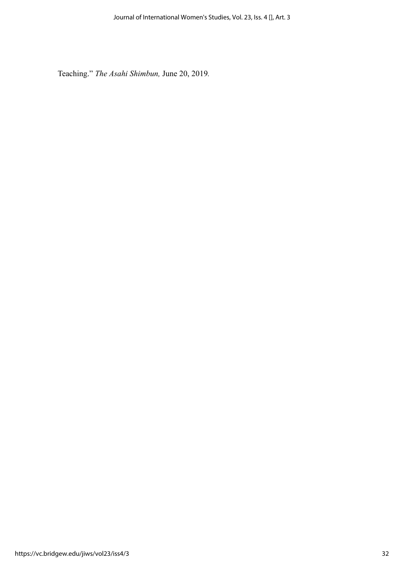Teaching." *The Asahi Shimbun,* June 20, 2019*.*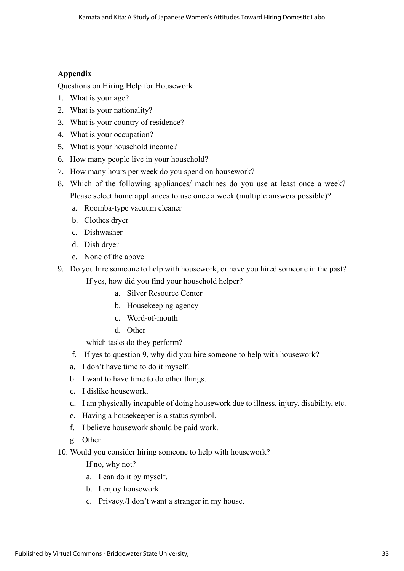#### **Appendix**

Questions on Hiring Help for Housework

- 1. What is your age?
- 2. What is your nationality?
- 3. What is your country of residence?
- 4. What is your occupation?
- 5. What is your household income?
- 6. How many people live in your household?
- 7. How many hours per week do you spend on housework?
- 8. Which of the following appliances/ machines do you use at least once a week? Please select home appliances to use once a week (multiple answers possible)?
	- a. Roomba-type vacuum cleaner
	- b. Clothes dryer
	- c. Dishwasher
	- d. Dish dryer
	- e. None of the above
- 9. Do you hire someone to help with housework, or have you hired someone in the past?

If yes, how did you find your household helper?

- a. Silver Resource Center
- b. Housekeeping agency
- c. Word-of-mouth
- d. Other

which tasks do they perform?

- f. If yes to question 9, why did you hire someone to help with housework?
- a. I don't have time to do it myself.
- b. I want to have time to do other things.
- c. I dislike housework.
- d. I am physically incapable of doing housework due to illness, injury, disability, etc.
- e. Having a housekeeper is a status symbol.
- f. I believe housework should be paid work.
- g. Other
- 10. Would you consider hiring someone to help with housework?

If no, why not?

- a. I can do it by myself.
- b. I enjoy housework.
- c. Privacy./I don't want a stranger in my house.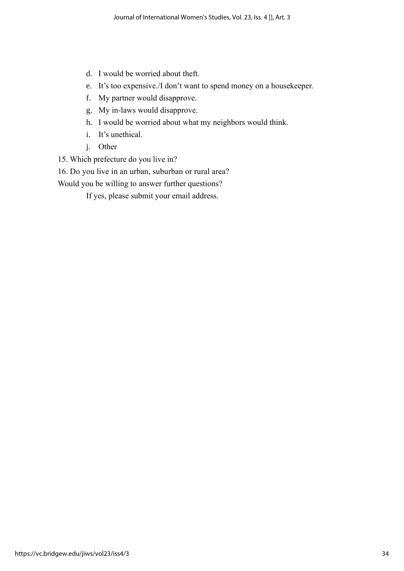- d. I would be worried about theft.
- e. It's too expensive./I don't want to spend money on a housekeeper.
- f. My partner would disapprove.
- g. My in-laws would disapprove.
- h. I would be worried about what my neighbors would think.
- i. It's unethical.
- j. Other
- 15. Which prefecture do you live in?

16. Do you live in an urban, suburban or rural area?

Would you be willing to answer further questions?

If yes, please submit your email address.